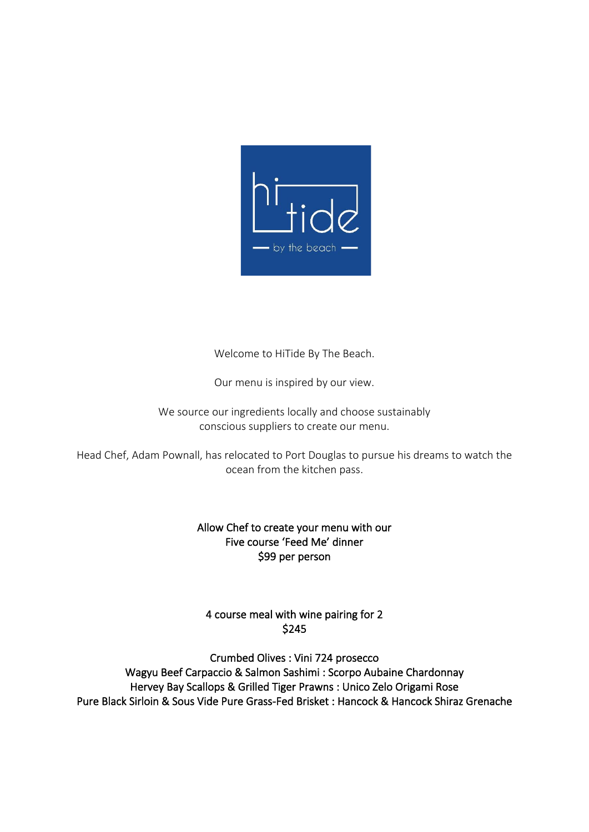

Welcome to HiTide By The Beach.

Our menu is inspired by our view.

We source our ingredients locally and choose sustainably conscious suppliers to create our menu.

Head Chef, Adam Pownall, has relocated to Port Douglas to pursue his dreams to watch the ocean from the kitchen pass.

# Allow Chef to create your menu with our Five course 'Feed Me' dinner \$99 per person

# 4 course meal with wine pairing for 2 \$245

Crumbed Olives : Vini 724 prosecco Wagyu Beef Carpaccio & Salmon Sashimi : Scorpo Aubaine Chardonnay Hervey Bay Scallops & Grilled Tiger Prawns : Unico Zelo Origami Rose Pure Black Sirloin & Sous Vide Pure Grass-Fed Brisket : Hancock & Hancock Shiraz Grenache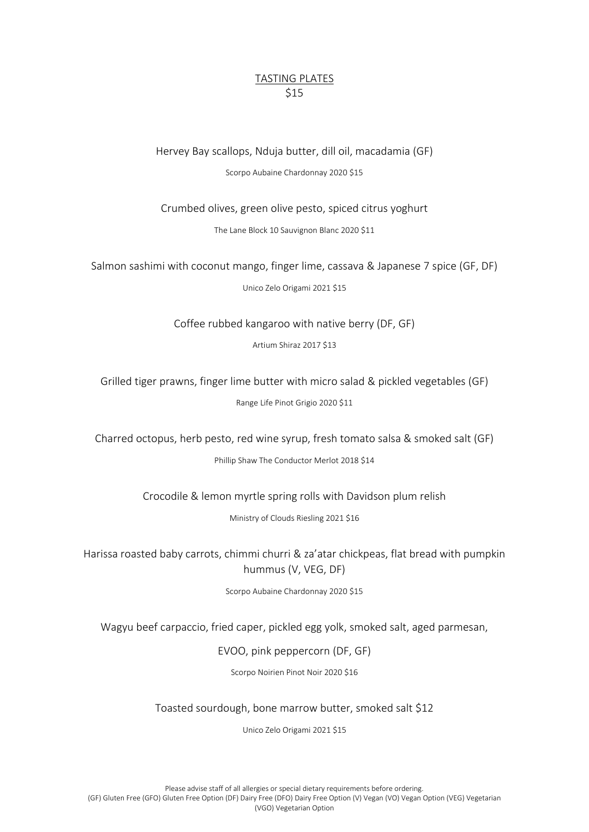# TASTING PLATES \$15

Hervey Bay scallops, Nduja butter, dill oil, macadamia (GF) Scorpo Aubaine Chardonnay 2020 \$15

Crumbed olives, green olive pesto, spiced citrus yoghurt

The Lane Block 10 Sauvignon Blanc 2020 \$11

Salmon sashimi with coconut mango, finger lime, cassava & Japanese 7 spice (GF, DF)

Unico Zelo Origami 2021 \$15

Coffee rubbed kangaroo with native berry (DF, GF)

Artium Shiraz 2017 \$13

Grilled tiger prawns, finger lime butter with micro salad & pickled vegetables (GF) Range Life Pinot Grigio 2020 \$11

Charred octopus, herb pesto, red wine syrup, fresh tomato salsa & smoked salt (GF) Phillip Shaw The Conductor Merlot 2018 \$14

Crocodile & lemon myrtle spring rolls with Davidson plum relish

Ministry of Clouds Riesling 2021 \$16

Harissa roasted baby carrots, chimmi churri & za'atar chickpeas, flat bread with pumpkin hummus (V, VEG, DF)

Scorpo Aubaine Chardonnay 2020 \$15

Wagyu beef carpaccio, fried caper, pickled egg yolk, smoked salt, aged parmesan,

EVOO, pink peppercorn (DF, GF)

Scorpo Noirien Pinot Noir 2020 \$16

Toasted sourdough, bone marrow butter, smoked salt \$12

Unico Zelo Origami 2021 \$15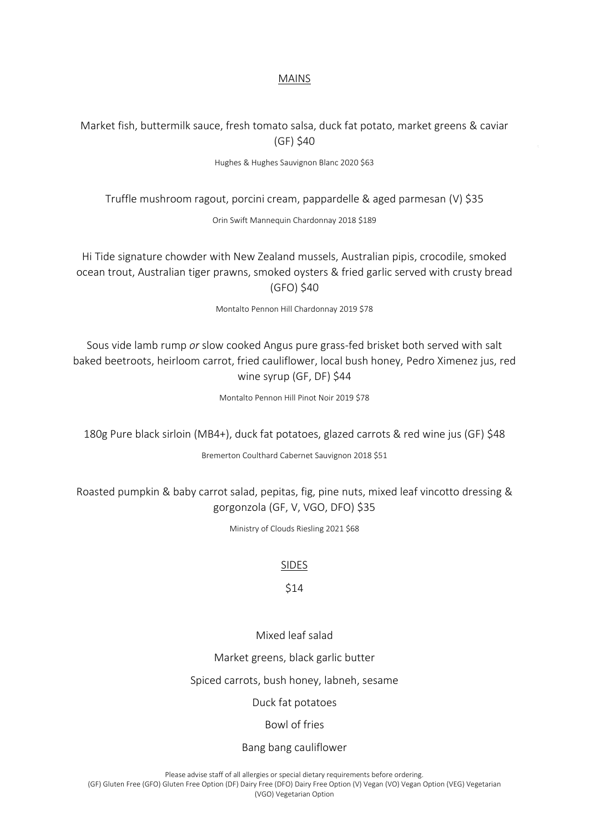#### MAINS

# Market fish, buttermilk sauce, fresh tomato salsa, duck fat potato, market greens & caviar (GF) \$40

Hughes & Hughes Sauvignon Blanc 2020 \$63

Truffle mushroom ragout, porcini cream, pappardelle & aged parmesan (V) \$35

Orin Swift Mannequin Chardonnay 2018 \$189

Hi Tide signature chowder with New Zealand mussels, Australian pipis, crocodile, smoked ocean trout, Australian tiger prawns, smoked oysters & fried garlic served with crusty bread (GFO) \$40

Montalto Pennon Hill Chardonnay 2019 \$78

Sous vide lamb rump *or* slow cooked Angus pure grass-fed brisket both served with salt baked beetroots, heirloom carrot, fried cauliflower, local bush honey, Pedro Ximenez jus, red wine syrup (GF, DF) \$44

Montalto Pennon Hill Pinot Noir 2019 \$78

180g Pure black sirloin (MB4+), duck fat potatoes, glazed carrots & red wine jus (GF) \$48

Bremerton Coulthard Cabernet Sauvignon 2018 \$51

Roasted pumpkin & baby carrot salad, pepitas, fig, pine nuts, mixed leaf vincotto dressing & gorgonzola (GF, V, VGO, DFO) \$35

Ministry of Clouds Riesling 2021 \$68

#### SIDES

# \$14

Mixed leaf salad

Market greens, black garlic butter

Spiced carrots, bush honey, labneh, sesame

Duck fat potatoes

Bowl of fries

Bang bang cauliflower

Please advise staff of all allergies or special dietary requirements before ordering.

(GF) Gluten Free (GFO) Gluten Free Option (DF) Dairy Free (DFO) Dairy Free Option (V) Vegan (VO) Vegan Option (VEG) Vegetarian (VGO) Vegetarian Option